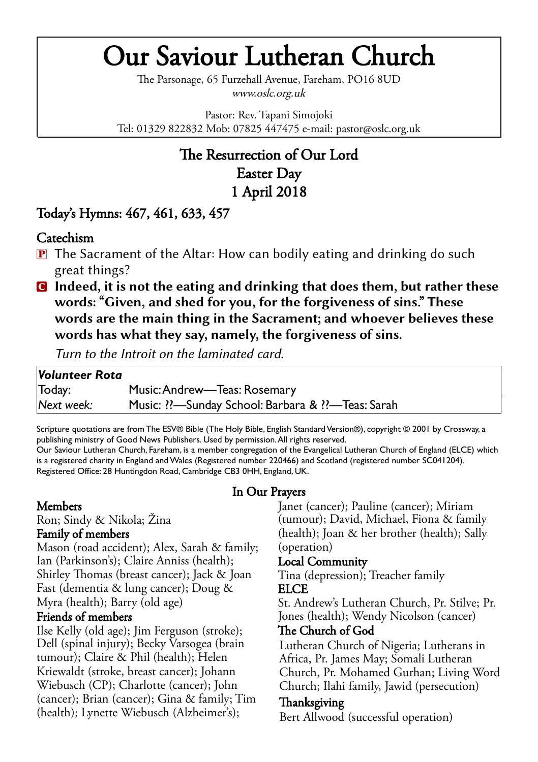# Our Saviour Lutheran Church

The Parsonage, 65 Furzehall Avenue, Fareham, PO16 8UD www.oslc.org.uk

Pastor: Rev. Tapani Simojoki Tel: 01329 822832 Mob: 07825 447475 e-mail: pastor@oslc.org.uk

# The Resurrection of Our Lord Easter Day 1 April 2018

# Today's Hymns: 467, 461, 633, 457

## Catechism

- $\mathbf{P}$  The Sacrament of the Altar: How can bodily eating and drinking do such great things?
- C **Indeed, it is not the eating and drinking that does them, but rather these words: "Given, and shed for you, for the forgiveness of sins." These words are the main thing in the Sacrament; and whoever believes these words has what they say, namely, the forgiveness of sins.**

*Turn to the Introit on the laminated card.*

| Volunteer Rota |                                                   |
|----------------|---------------------------------------------------|
| Today:         | Music: Andrew—Teas: Rosemary                      |
| Next week:     | Music: ??—Sunday School: Barbara & ??—Teas: Sarah |

Scripture quotations are from The ESV® Bible (The Holy Bible, English Standard Version®), copyright © 2001 by Crossway, a publishing ministry of Good News Publishers. Used by permission. All rights reserved. Our Saviour Lutheran Church, Fareham, is a member congregation of the Evangelical Lutheran Church of England (ELCE) which

is a registered charity in England and Wales (Registered number 220466) and Scotland (registered number SC041204). Registered Office: 28 Huntingdon Road, Cambridge CB3 0HH, England, UK.

# In Our Prayers

#### Members

Ron; Sindy & Nikola; Žina Family of members

Mason (road accident); Alex, Sarah & family; Ian (Parkinson's); Claire Anniss (health); Shirley Thomas (breast cancer); Jack & Joan Fast (dementia & lung cancer); Doug & Myra (health); Barry (old age)

#### Friends of members

Ilse Kelly (old age); Jim Ferguson (stroke); Dell (spinal injury); Becky Varsogea (brain tumour); Claire & Phil (health); Helen Kriewalldt (stroke, breast cancer); Johann Wiebusch (CP); Charlotte (cancer); John  $(cancer)$ ; Brian  $(cancer)$ ; Gina & family; Tim (health); Lynette Wiebusch (Alzheimer's);

Janet (cancer); Pauline (cancer); Miriam (tumour); David, Michael, Fiona & family  $(health)$ ; Joan & her brother  $(health)$ ; Sally (operation)

## Local Community

Tina (depression); Treacher family **ELCE** 

St. Andrew's Lutheran Church, Pr. Stilve; Pr. Jones (health); Wendy Nicolson (cancer)

#### The Church of God

Lutheran Church of Nigeria; Lutherans in Africa, Pr. James May; Somali Lutheran Church, Pr. Mohamed Gurhan; Living Word Church; Ilahi family, Jawid (persecution)

## Thanksgiving

Bert Allwood (successful operation)